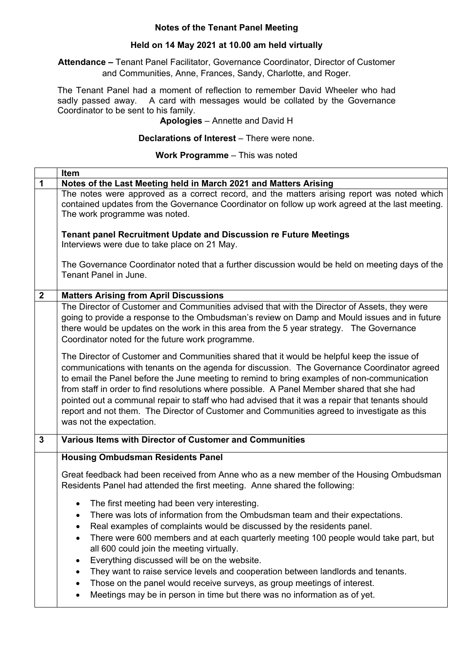### **Notes of the Tenant Panel Meeting**

### **Held on 14 May 2021 at 10.00 am held virtually**

**Attendance –** Tenant Panel Facilitator, Governance Coordinator, Director of Customer and Communities, Anne, Frances, Sandy, Charlotte, and Roger.

The Tenant Panel had a moment of reflection to remember David Wheeler who had sadly passed away. A card with messages would be collated by the Governance Coordinator to be sent to his family.

# **Apologies** – Annette and David H

#### **Declarations of Interest** – There were none.

#### **Work Programme** – This was noted

|              | Item                                                                                                                                                                                                                                                                                                                                                                                                                                                                                                                                                                                                                 |
|--------------|----------------------------------------------------------------------------------------------------------------------------------------------------------------------------------------------------------------------------------------------------------------------------------------------------------------------------------------------------------------------------------------------------------------------------------------------------------------------------------------------------------------------------------------------------------------------------------------------------------------------|
| 1            | Notes of the Last Meeting held in March 2021 and Matters Arising                                                                                                                                                                                                                                                                                                                                                                                                                                                                                                                                                     |
|              | The notes were approved as a correct record, and the matters arising report was noted which<br>contained updates from the Governance Coordinator on follow up work agreed at the last meeting.<br>The work programme was noted.                                                                                                                                                                                                                                                                                                                                                                                      |
|              | <b>Tenant panel Recruitment Update and Discussion re Future Meetings</b><br>Interviews were due to take place on 21 May.                                                                                                                                                                                                                                                                                                                                                                                                                                                                                             |
|              | The Governance Coordinator noted that a further discussion would be held on meeting days of the<br>Tenant Panel in June.                                                                                                                                                                                                                                                                                                                                                                                                                                                                                             |
| $\mathbf{2}$ | <b>Matters Arising from April Discussions</b>                                                                                                                                                                                                                                                                                                                                                                                                                                                                                                                                                                        |
|              | The Director of Customer and Communities advised that with the Director of Assets, they were<br>going to provide a response to the Ombudsman's review on Damp and Mould issues and in future<br>there would be updates on the work in this area from the 5 year strategy. The Governance<br>Coordinator noted for the future work programme.                                                                                                                                                                                                                                                                         |
|              | The Director of Customer and Communities shared that it would be helpful keep the issue of<br>communications with tenants on the agenda for discussion. The Governance Coordinator agreed<br>to email the Panel before the June meeting to remind to bring examples of non-communication<br>from staff in order to find resolutions where possible. A Panel Member shared that she had<br>pointed out a communal repair to staff who had advised that it was a repair that tenants should<br>report and not them. The Director of Customer and Communities agreed to investigate as this<br>was not the expectation. |
| $\mathbf{3}$ | Various Items with Director of Customer and Communities                                                                                                                                                                                                                                                                                                                                                                                                                                                                                                                                                              |
|              | <b>Housing Ombudsman Residents Panel</b>                                                                                                                                                                                                                                                                                                                                                                                                                                                                                                                                                                             |
|              | Great feedback had been received from Anne who as a new member of the Housing Ombudsman<br>Residents Panel had attended the first meeting. Anne shared the following:                                                                                                                                                                                                                                                                                                                                                                                                                                                |
|              | The first meeting had been very interesting.<br>$\bullet$<br>There was lots of information from the Ombudsman team and their expectations.<br>$\bullet$<br>Real examples of complaints would be discussed by the residents panel.                                                                                                                                                                                                                                                                                                                                                                                    |
|              | There were 600 members and at each quarterly meeting 100 people would take part, but<br>all 600 could join the meeting virtually.                                                                                                                                                                                                                                                                                                                                                                                                                                                                                    |
|              | Everything discussed will be on the website.                                                                                                                                                                                                                                                                                                                                                                                                                                                                                                                                                                         |
|              | They want to raise service levels and cooperation between landlords and tenants.<br>Those on the panel would receive surveys, as group meetings of interest.                                                                                                                                                                                                                                                                                                                                                                                                                                                         |
|              | Meetings may be in person in time but there was no information as of yet.                                                                                                                                                                                                                                                                                                                                                                                                                                                                                                                                            |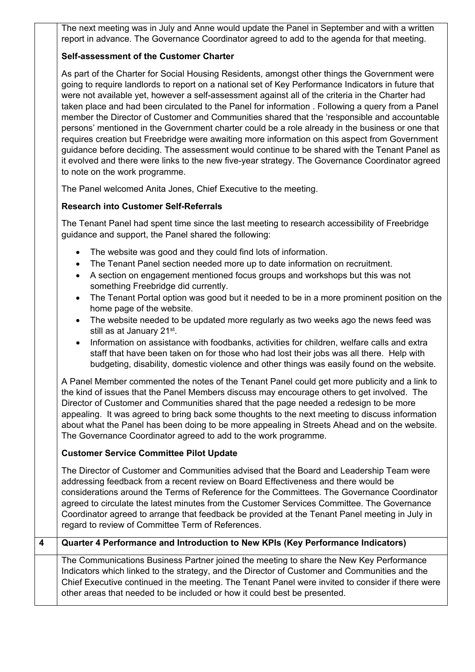The next meeting was in July and Anne would update the Panel in September and with a written report in advance. The Governance Coordinator agreed to add to the agenda for that meeting.

# **Self-assessment of the Customer Charter**

As part of the Charter for Social Housing Residents, amongst other things the Government were going to require landlords to report on a national set of Key Performance Indicators in future that were not available yet, however a self-assessment against all of the criteria in the Charter had taken place and had been circulated to the Panel for information . Following a query from a Panel member the Director of Customer and Communities shared that the 'responsible and accountable persons' mentioned in the Government charter could be a role already in the business or one that requires creation but Freebridge were awaiting more information on this aspect from Government guidance before deciding. The assessment would continue to be shared with the Tenant Panel as it evolved and there were links to the new five-year strategy. The Governance Coordinator agreed to note on the work programme.

The Panel welcomed Anita Jones, Chief Executive to the meeting.

# **Research into Customer Self-Referrals**

The Tenant Panel had spent time since the last meeting to research accessibility of Freebridge guidance and support, the Panel shared the following:

- The website was good and they could find lots of information.
- The Tenant Panel section needed more up to date information on recruitment.
- A section on engagement mentioned focus groups and workshops but this was not something Freebridge did currently.
- The Tenant Portal option was good but it needed to be in a more prominent position on the home page of the website.
- The website needed to be updated more regularly as two weeks ago the news feed was still as at January 21st.
- Information on assistance with foodbanks, activities for children, welfare calls and extra staff that have been taken on for those who had lost their jobs was all there. Help with budgeting, disability, domestic violence and other things was easily found on the website.

A Panel Member commented the notes of the Tenant Panel could get more publicity and a link to the kind of issues that the Panel Members discuss may encourage others to get involved. The Director of Customer and Communities shared that the page needed a redesign to be more appealing. It was agreed to bring back some thoughts to the next meeting to discuss information about what the Panel has been doing to be more appealing in Streets Ahead and on the website. The Governance Coordinator agreed to add to the work programme.

# **Customer Service Committee Pilot Update**

The Director of Customer and Communities advised that the Board and Leadership Team were addressing feedback from a recent review on Board Effectiveness and there would be considerations around the Terms of Reference for the Committees. The Governance Coordinator agreed to circulate the latest minutes from the Customer Services Committee. The Governance Coordinator agreed to arrange that feedback be provided at the Tenant Panel meeting in July in regard to review of Committee Term of References.

# **4 Quarter 4 Performance and Introduction to New KPIs (Key Performance Indicators)**

The Communications Business Partner joined the meeting to share the New Key Performance Indicators which linked to the strategy, and the Director of Customer and Communities and the Chief Executive continued in the meeting. The Tenant Panel were invited to consider if there were other areas that needed to be included or how it could best be presented.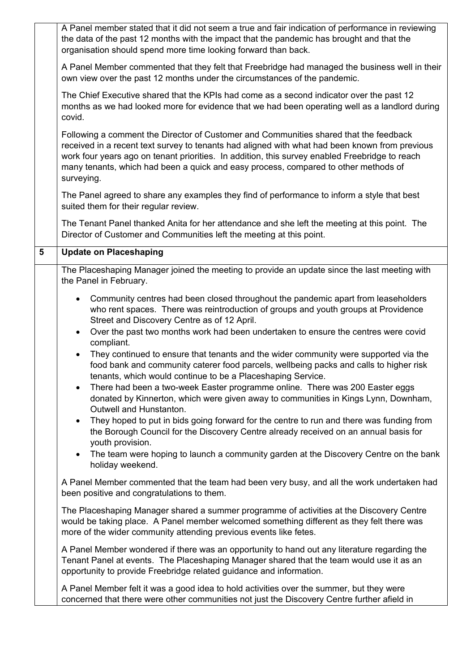|   | A Panel member stated that it did not seem a true and fair indication of performance in reviewing<br>the data of the past 12 months with the impact that the pandemic has brought and that the<br>organisation should spend more time looking forward than back.                                                                                                                               |
|---|------------------------------------------------------------------------------------------------------------------------------------------------------------------------------------------------------------------------------------------------------------------------------------------------------------------------------------------------------------------------------------------------|
|   | A Panel Member commented that they felt that Freebridge had managed the business well in their<br>own view over the past 12 months under the circumstances of the pandemic.                                                                                                                                                                                                                    |
|   | The Chief Executive shared that the KPIs had come as a second indicator over the past 12<br>months as we had looked more for evidence that we had been operating well as a landlord during<br>covid.                                                                                                                                                                                           |
|   | Following a comment the Director of Customer and Communities shared that the feedback<br>received in a recent text survey to tenants had aligned with what had been known from previous<br>work four years ago on tenant priorities. In addition, this survey enabled Freebridge to reach<br>many tenants, which had been a quick and easy process, compared to other methods of<br>surveying. |
|   | The Panel agreed to share any examples they find of performance to inform a style that best<br>suited them for their regular review.                                                                                                                                                                                                                                                           |
|   | The Tenant Panel thanked Anita for her attendance and she left the meeting at this point. The<br>Director of Customer and Communities left the meeting at this point.                                                                                                                                                                                                                          |
| 5 | <b>Update on Placeshaping</b>                                                                                                                                                                                                                                                                                                                                                                  |
|   | The Placeshaping Manager joined the meeting to provide an update since the last meeting with<br>the Panel in February.                                                                                                                                                                                                                                                                         |
|   | Community centres had been closed throughout the pandemic apart from leaseholders<br>$\bullet$<br>who rent spaces. There was reintroduction of groups and youth groups at Providence<br>Street and Discovery Centre as of 12 April.<br>Over the past two months work had been undertaken to ensure the centres were covid<br>$\bullet$<br>compliant.                                           |
|   | They continued to ensure that tenants and the wider community were supported via the<br>$\bullet$<br>food bank and community caterer food parcels, wellbeing packs and calls to higher risk<br>tenants, which would continue to be a Placeshaping Service.                                                                                                                                     |
|   | There had been a two-week Easter programme online. There was 200 Easter eggs<br>donated by Kinnerton, which were given away to communities in Kings Lynn, Downham,<br>Outwell and Hunstanton.                                                                                                                                                                                                  |
|   | They hoped to put in bids going forward for the centre to run and there was funding from<br>$\bullet$<br>the Borough Council for the Discovery Centre already received on an annual basis for<br>youth provision.                                                                                                                                                                              |
|   | The team were hoping to launch a community garden at the Discovery Centre on the bank<br>holiday weekend.                                                                                                                                                                                                                                                                                      |
|   | A Panel Member commented that the team had been very busy, and all the work undertaken had<br>been positive and congratulations to them.                                                                                                                                                                                                                                                       |
|   | The Placeshaping Manager shared a summer programme of activities at the Discovery Centre<br>would be taking place. A Panel member welcomed something different as they felt there was<br>more of the wider community attending previous events like fetes.                                                                                                                                     |
|   | A Panel Member wondered if there was an opportunity to hand out any literature regarding the<br>Tenant Panel at events. The Placeshaping Manager shared that the team would use it as an<br>opportunity to provide Freebridge related guidance and information.                                                                                                                                |
|   | A Panel Member felt it was a good idea to hold activities over the summer, but they were<br>concerned that there were other communities not just the Discovery Centre further afield in                                                                                                                                                                                                        |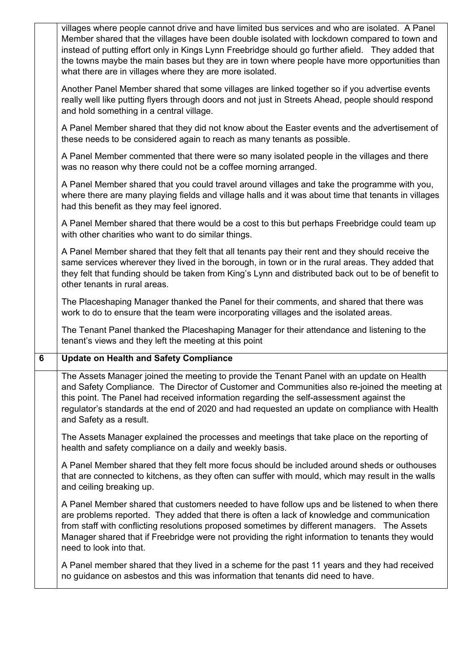|   | villages where people cannot drive and have limited bus services and who are isolated. A Panel<br>Member shared that the villages have been double isolated with lockdown compared to town and<br>instead of putting effort only in Kings Lynn Freebridge should go further afield. They added that<br>the towns maybe the main bases but they are in town where people have more opportunities than<br>what there are in villages where they are more isolated. |
|---|------------------------------------------------------------------------------------------------------------------------------------------------------------------------------------------------------------------------------------------------------------------------------------------------------------------------------------------------------------------------------------------------------------------------------------------------------------------|
|   | Another Panel Member shared that some villages are linked together so if you advertise events<br>really well like putting flyers through doors and not just in Streets Ahead, people should respond<br>and hold something in a central village.                                                                                                                                                                                                                  |
|   | A Panel Member shared that they did not know about the Easter events and the advertisement of<br>these needs to be considered again to reach as many tenants as possible.                                                                                                                                                                                                                                                                                        |
|   | A Panel Member commented that there were so many isolated people in the villages and there<br>was no reason why there could not be a coffee morning arranged.                                                                                                                                                                                                                                                                                                    |
|   | A Panel Member shared that you could travel around villages and take the programme with you,<br>where there are many playing fields and village halls and it was about time that tenants in villages<br>had this benefit as they may feel ignored.                                                                                                                                                                                                               |
|   | A Panel Member shared that there would be a cost to this but perhaps Freebridge could team up<br>with other charities who want to do similar things.                                                                                                                                                                                                                                                                                                             |
|   | A Panel Member shared that they felt that all tenants pay their rent and they should receive the<br>same services wherever they lived in the borough, in town or in the rural areas. They added that<br>they felt that funding should be taken from King's Lynn and distributed back out to be of benefit to<br>other tenants in rural areas.                                                                                                                    |
|   | The Placeshaping Manager thanked the Panel for their comments, and shared that there was                                                                                                                                                                                                                                                                                                                                                                         |
|   | work to do to ensure that the team were incorporating villages and the isolated areas.                                                                                                                                                                                                                                                                                                                                                                           |
|   | The Tenant Panel thanked the Placeshaping Manager for their attendance and listening to the<br>tenant's views and they left the meeting at this point                                                                                                                                                                                                                                                                                                            |
| 6 | <b>Update on Health and Safety Compliance</b>                                                                                                                                                                                                                                                                                                                                                                                                                    |
|   | The Assets Manager joined the meeting to provide the Tenant Panel with an update on Health<br>and Safety Compliance. The Director of Customer and Communities also re-joined the meeting at<br>this point. The Panel had received information regarding the self-assessment against the<br>regulator's standards at the end of 2020 and had requested an update on compliance with Health<br>and Safety as a result.                                             |
|   | The Assets Manager explained the processes and meetings that take place on the reporting of<br>health and safety compliance on a daily and weekly basis.                                                                                                                                                                                                                                                                                                         |
|   | A Panel Member shared that they felt more focus should be included around sheds or outhouses<br>that are connected to kitchens, as they often can suffer with mould, which may result in the walls<br>and ceiling breaking up.                                                                                                                                                                                                                                   |
|   | A Panel Member shared that customers needed to have follow ups and be listened to when there<br>are problems reported. They added that there is often a lack of knowledge and communication<br>from staff with conflicting resolutions proposed sometimes by different managers. The Assets<br>Manager shared that if Freebridge were not providing the right information to tenants they would<br>need to look into that.                                       |